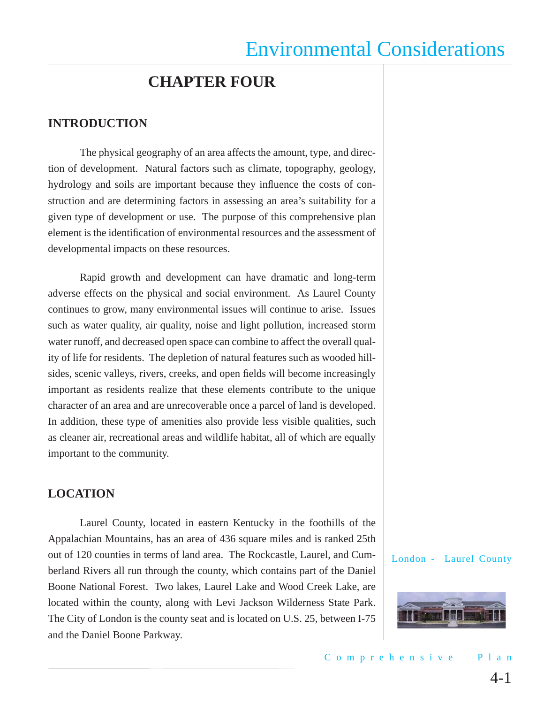### **CHAPTER FOUR**

### **INTRODUCTION**

The physical geography of an area affects the amount, type, and direction of development. Natural factors such as climate, topography, geology, hydrology and soils are important because they influence the costs of construction and are determining factors in assessing an area's suitability for a given type of development or use. The purpose of this comprehensive plan element is the identification of environmental resources and the assessment of developmental impacts on these resources.

Rapid growth and development can have dramatic and long-term adverse effects on the physical and social environment. As Laurel County continues to grow, many environmental issues will continue to arise. Issues such as water quality, air quality, noise and light pollution, increased storm water runoff, and decreased open space can combine to affect the overall quality of life for residents. The depletion of natural features such as wooded hillsides, scenic valleys, rivers, creeks, and open fields will become increasingly important as residents realize that these elements contribute to the unique character of an area and are unrecoverable once a parcel of land is developed. In addition, these type of amenities also provide less visible qualities, such as cleaner air, recreational areas and wildlife habitat, all of which are equally important to the community.

### **LOCATION**

Laurel County, located in eastern Kentucky in the foothills of the Appalachian Mountains, has an area of 436 square miles and is ranked 25th out of 120 counties in terms of land area. The Rockcastle, Laurel, and Cumberland Rivers all run through the county, which contains part of the Daniel Boone National Forest. Two lakes, Laurel Lake and Wood Creek Lake, are located within the county, along with Levi Jackson Wilderness State Park. The City of London is the county seat and is located on U.S. 25, between I-75 and the Daniel Boone Parkway.

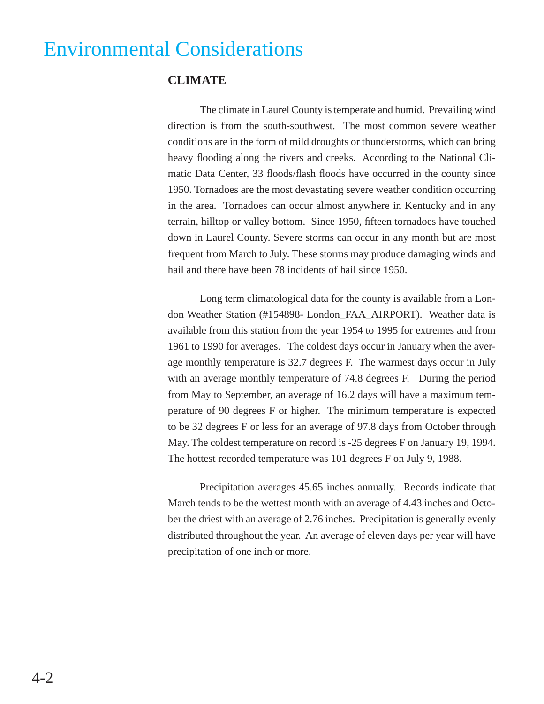### **CLIMATE**

The climate in Laurel County is temperate and humid. Prevailing wind direction is from the south-southwest. The most common severe weather conditions are in the form of mild droughts or thunderstorms, which can bring heavy flooding along the rivers and creeks. According to the National Climatic Data Center, 33 floods/flash floods have occurred in the county since 1950. Tornadoes are the most devastating severe weather condition occurring in the area. Tornadoes can occur almost anywhere in Kentucky and in any terrain, hilltop or valley bottom. Since 1950, fifteen tornadoes have touched down in Laurel County. Severe storms can occur in any month but are most frequent from March to July. These storms may produce damaging winds and hail and there have been 78 incidents of hail since 1950.

Long term climatological data for the county is available from a London Weather Station (#154898- London\_FAA\_AIRPORT). Weather data is available from this station from the year 1954 to 1995 for extremes and from 1961 to 1990 for averages. The coldest days occur in January when the average monthly temperature is 32.7 degrees F. The warmest days occur in July with an average monthly temperature of 74.8 degrees F. During the period from May to September, an average of 16.2 days will have a maximum temperature of 90 degrees F or higher. The minimum temperature is expected to be 32 degrees F or less for an average of 97.8 days from October through May. The coldest temperature on record is -25 degrees F on January 19, 1994. The hottest recorded temperature was 101 degrees F on July 9, 1988.

Precipitation averages 45.65 inches annually. Records indicate that March tends to be the wettest month with an average of 4.43 inches and October the driest with an average of 2.76 inches. Precipitation is generally evenly distributed throughout the year. An average of eleven days per year will have precipitation of one inch or more.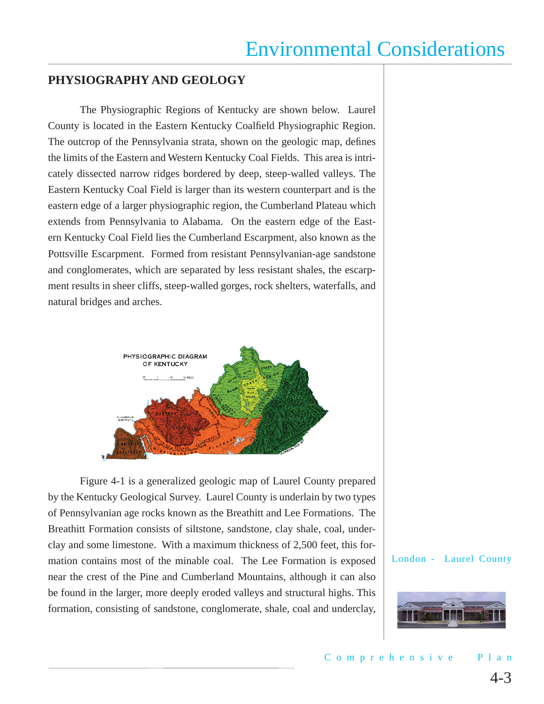### **PHYSIOGRAPHY AND GEOLOGY**

The Physiographic Regions of Kentucky are shown below. Laurel County is located in the Eastern Kentucky Coalfield Physiographic Region. The outcrop of the Pennsylvania strata, shown on the geologic map, defines the limits of the Eastern and Western Kentucky Coal Fields. This area is intricately dissected narrow ridges bordered by deep, steep-walled valleys. The Eastern Kentucky Coal Field is larger than its western counterpart and is the eastern edge of a larger physiographic region, the Cumberland Plateau which extends from Pennsylvania to Alabama. On the eastern edge of the Eastern Kentucky Coal Field lies the Cumberland Escarpment, also known as the Pottsville Escarpment. Formed from resistant Pennsylvanian-age sandstone and conglomerates, which are separated by less resistant shales, the escarpment results in sheer cliffs, steep-walled gorges, rock shelters, waterfalls, and natural bridges and arches.



Figure 4-1 is a generalized geologic map of Laurel County prepared by the Kentucky Geological Survey. Laurel County is underlain by two types of Pennsylvanian age rocks known as the Breathitt and Lee Formations. The Breathitt Formation consists of siltstone, sandstone, clay shale, coal, underclay and some limestone. With a maximum thickness of 2,500 feet, this formation contains most of the minable coal. The Lee Formation is exposed near the crest of the Pine and Cumberland Mountains, although it can also be found in the larger, more deeply eroded valleys and structural highs. This formation, consisting of sandstone, conglomerate, shale, coal and underclay,

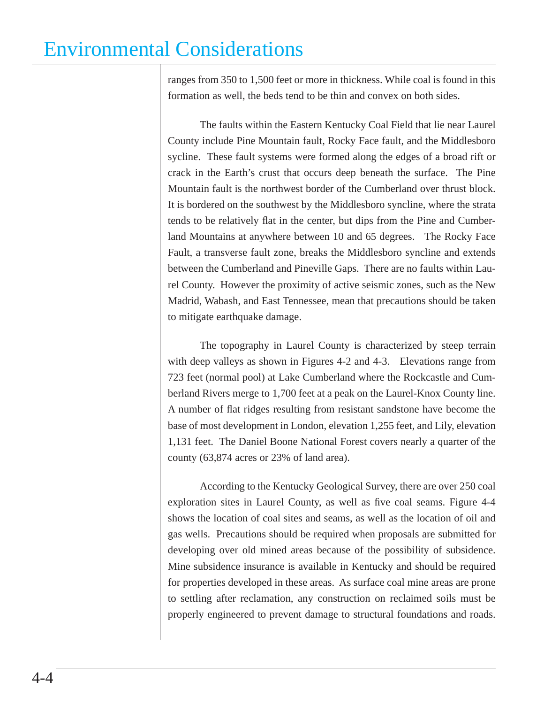ranges from 350 to 1,500 feet or more in thickness. While coal is found in this formation as well, the beds tend to be thin and convex on both sides.

The faults within the Eastern Kentucky Coal Field that lie near Laurel County include Pine Mountain fault, Rocky Face fault, and the Middlesboro sycline. These fault systems were formed along the edges of a broad rift or crack in the Earth's crust that occurs deep beneath the surface. The Pine Mountain fault is the northwest border of the Cumberland over thrust block. It is bordered on the southwest by the Middlesboro syncline, where the strata tends to be relatively flat in the center, but dips from the Pine and Cumberland Mountains at anywhere between 10 and 65 degrees. The Rocky Face Fault, a transverse fault zone, breaks the Middlesboro syncline and extends between the Cumberland and Pineville Gaps. There are no faults within Laurel County. However the proximity of active seismic zones, such as the New Madrid, Wabash, and East Tennessee, mean that precautions should be taken to mitigate earthquake damage.

The topography in Laurel County is characterized by steep terrain with deep valleys as shown in Figures 4-2 and 4-3. Elevations range from 723 feet (normal pool) at Lake Cumberland where the Rockcastle and Cumberland Rivers merge to 1,700 feet at a peak on the Laurel-Knox County line. A number of flat ridges resulting from resistant sandstone have become the base of most development in London, elevation 1,255 feet, and Lily, elevation 1,131 feet. The Daniel Boone National Forest covers nearly a quarter of the county (63,874 acres or 23% of land area).

According to the Kentucky Geological Survey, there are over 250 coal exploration sites in Laurel County, as well as five coal seams. Figure 4-4 shows the location of coal sites and seams, as well as the location of oil and gas wells. Precautions should be required when proposals are submitted for developing over old mined areas because of the possibility of subsidence. Mine subsidence insurance is available in Kentucky and should be required for properties developed in these areas. As surface coal mine areas are prone to settling after reclamation, any construction on reclaimed soils must be properly engineered to prevent damage to structural foundations and roads.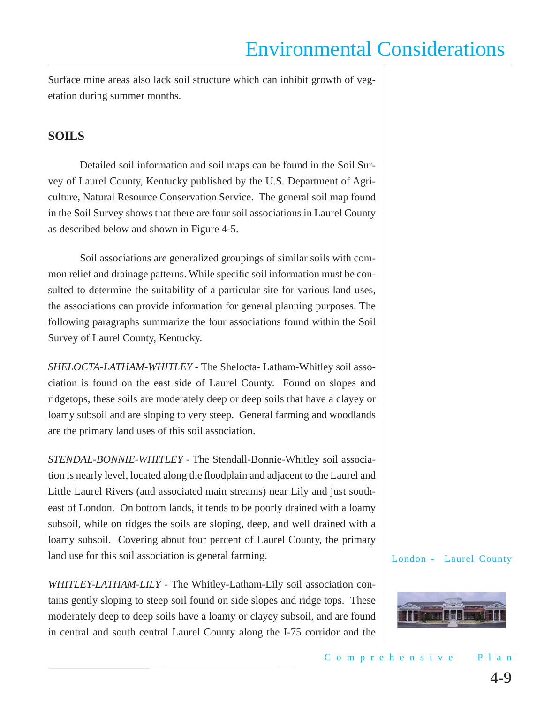Surface mine areas also lack soil structure which can inhibit growth of vegetation during summer months.

### **SOILS**

Detailed soil information and soil maps can be found in the Soil Survey of Laurel County, Kentucky published by the U.S. Department of Agriculture, Natural Resource Conservation Service. The general soil map found in the Soil Survey shows that there are four soil associations in Laurel County as described below and shown in Figure 4-5.

Soil associations are generalized groupings of similar soils with common relief and drainage patterns. While specific soil information must be consulted to determine the suitability of a particular site for various land uses, the associations can provide information for general planning purposes. The following paragraphs summarize the four associations found within the Soil Survey of Laurel County, Kentucky.

*SHELOCTA*-*LATHAM-WHITLEY -* The Shelocta- Latham-Whitley soil association is found on the east side of Laurel County. Found on slopes and ridgetops, these soils are moderately deep or deep soils that have a clayey or loamy subsoil and are sloping to very steep. General farming and woodlands are the primary land uses of this soil association.

*STENDAL-BONNIE-WHITLEY* - The Stendall-Bonnie-Whitley soil association is nearly level, located along the floodplain and adjacent to the Laurel and Little Laurel Rivers (and associated main streams) near Lily and just southeast of London. On bottom lands, it tends to be poorly drained with a loamy subsoil, while on ridges the soils are sloping, deep, and well drained with a loamy subsoil. Covering about four percent of Laurel County, the primary land use for this soil association is general farming.

*WHITLEY-LATHAM-LILY -* The Whitley-Latham-Lily soil association contains gently sloping to steep soil found on side slopes and ridge tops. These moderately deep to deep soils have a loamy or clayey subsoil, and are found in central and south central Laurel County along the I-75 corridor and the

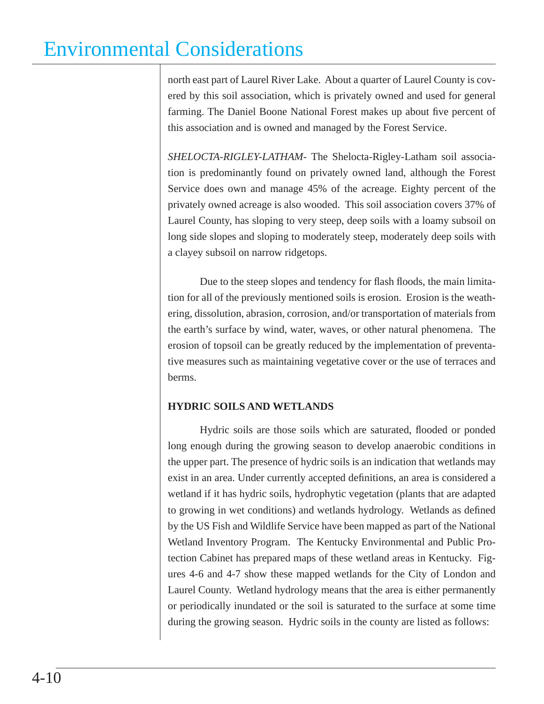north east part of Laurel River Lake. About a quarter of Laurel County is covered by this soil association, which is privately owned and used for general farming. The Daniel Boone National Forest makes up about five percent of this association and is owned and managed by the Forest Service.

*SHELOCTA-RIGLEY-LATHAM-* The Shelocta-Rigley-Latham soil association is predominantly found on privately owned land, although the Forest Service does own and manage 45% of the acreage. Eighty percent of the privately owned acreage is also wooded. This soil association covers 37% of Laurel County, has sloping to very steep, deep soils with a loamy subsoil on long side slopes and sloping to moderately steep, moderately deep soils with a clayey subsoil on narrow ridgetops.

Due to the steep slopes and tendency for flash floods, the main limitation for all of the previously mentioned soils is erosion. Erosion is the weathering, dissolution, abrasion, corrosion, and/or transportation of materials from the earth's surface by wind, water, waves, or other natural phenomena. The erosion of topsoil can be greatly reduced by the implementation of preventative measures such as maintaining vegetative cover or the use of terraces and berms.

### **HYDRIC SOILS AND WETLANDS**

Hydric soils are those soils which are saturated, flooded or ponded long enough during the growing season to develop anaerobic conditions in the upper part. The presence of hydric soils is an indication that wetlands may exist in an area. Under currently accepted definitions, an area is considered a wetland if it has hydric soils, hydrophytic vegetation (plants that are adapted to growing in wet conditions) and wetlands hydrology. Wetlands as defined by the US Fish and Wildlife Service have been mapped as part of the National Wetland Inventory Program. The Kentucky Environmental and Public Protection Cabinet has prepared maps of these wetland areas in Kentucky. Figures 4-6 and 4-7 show these mapped wetlands for the City of London and Laurel County. Wetland hydrology means that the area is either permanently or periodically inundated or the soil is saturated to the surface at some time during the growing season. Hydric soils in the county are listed as follows: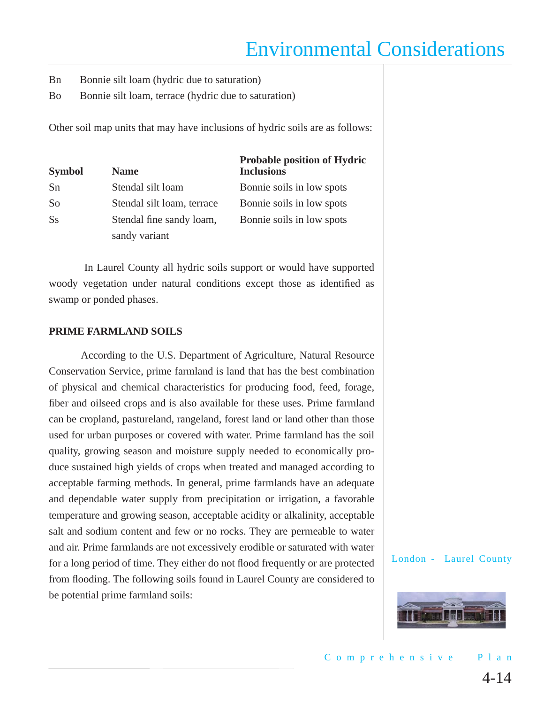- Bn Bonnie silt loam (hydric due to saturation)
- Bo Bonnie silt loam, terrace (hydric due to saturation)

Other soil map units that may have inclusions of hydric soils are as follows:

| <b>Symbol</b> | <b>Name</b>                | <b>Probable position of Hydric</b><br><b>Inclusions</b> |
|---------------|----------------------------|---------------------------------------------------------|
| Sn            | Stendal silt loam          | Bonnie soils in low spots                               |
| So            | Stendal silt loam, terrace | Bonnie soils in low spots                               |
| <b>Ss</b>     | Stendal fine sandy loam,   | Bonnie soils in low spots                               |
|               | sandy variant              |                                                         |

In Laurel County all hydric soils support or would have supported woody vegetation under natural conditions except those as identified as swamp or ponded phases.

#### **PRIME FARMLAND SOILS**

According to the U.S. Department of Agriculture, Natural Resource Conservation Service, prime farmland is land that has the best combination of physical and chemical characteristics for producing food, feed, forage, fiber and oilseed crops and is also available for these uses. Prime farmland can be cropland, pastureland, rangeland, forest land or land other than those used for urban purposes or covered with water. Prime farmland has the soil quality, growing season and moisture supply needed to economically produce sustained high yields of crops when treated and managed according to acceptable farming methods. In general, prime farmlands have an adequate and dependable water supply from precipitation or irrigation, a favorable temperature and growing season, acceptable acidity or alkalinity, acceptable salt and sodium content and few or no rocks. They are permeable to water and air. Prime farmlands are not excessively erodible or saturated with water for a long period of time. They either do not flood frequently or are protected from flooding. The following soils found in Laurel County are considered to be potential prime farmland soils:

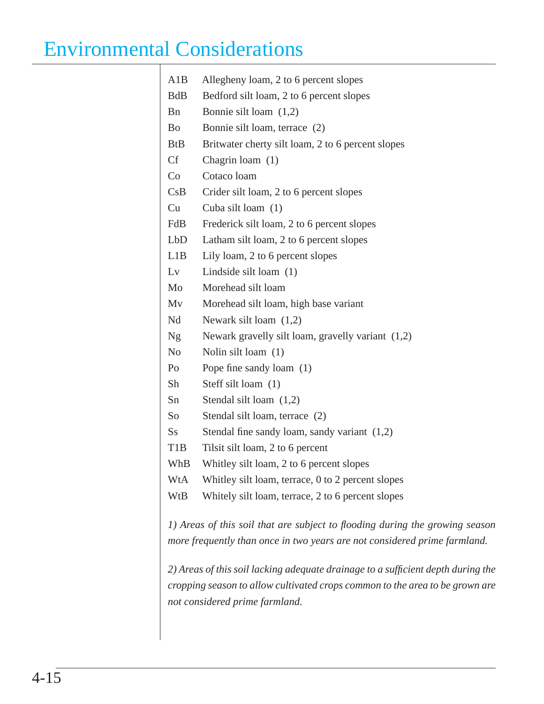| A1B              | Allegheny loam, 2 to 6 percent slopes                                            |
|------------------|----------------------------------------------------------------------------------|
| <b>BdB</b>       | Bedford silt loam, 2 to 6 percent slopes                                         |
| <b>B</b> n       | Bonnie silt loam $(1,2)$                                                         |
| <b>Bo</b>        | Bonnie silt loam, terrace (2)                                                    |
| <b>BtB</b>       | Britwater cherty silt loam, 2 to 6 percent slopes                                |
| <b>Cf</b>        | Chagrin loam $(1)$                                                               |
| Co               | Cotaco loam                                                                      |
| CsB              | Crider silt loam, 2 to 6 percent slopes                                          |
| Cu               | Cuba silt loam $(1)$                                                             |
| FdB              | Frederick silt loam, 2 to 6 percent slopes                                       |
| LbD              | Latham silt loam, 2 to 6 percent slopes                                          |
| L1B              | Lily loam, 2 to 6 percent slopes                                                 |
| Lv               | Lindside silt loam $(1)$                                                         |
| Mo               | Morehead silt loam                                                               |
| Mv               | Morehead silt loam, high base variant                                            |
| Nd               | Newark silt loam $(1,2)$                                                         |
| <b>Ng</b>        | Newark gravelly silt loam, gravelly variant $(1,2)$                              |
| N <sub>0</sub>   | Nolin silt loam (1)                                                              |
| Po               | Pope fine sandy loam (1)                                                         |
| Sh               | Steff silt loam (1)                                                              |
| Sn               | Stendal silt loam $(1,2)$                                                        |
| So               | Stendal silt loam, terrace (2)                                                   |
| $S_{S}$          | Stendal fine sandy loam, sandy variant $(1,2)$                                   |
| T <sub>1</sub> B | Tilsit silt loam, 2 to 6 percent                                                 |
| WhB              | Whitley silt loam, 2 to 6 percent slopes                                         |
| WtA              | Whitley silt loam, terrace, 0 to 2 percent slopes                                |
| WtB              | Whitely silt loam, terrace, 2 to 6 percent slopes                                |
|                  | 1) Areas of this soil that are subject to flooding during the growing season     |
|                  | more frequently than once in two years are not considered prime farmland.        |
|                  | 2) Areas of this soil lacking adequate drainage to a sufficient depth during the |
|                  | cropping season to allow cultivated crops common to the area to be grown are     |
|                  | not considered prime farmland.                                                   |
|                  |                                                                                  |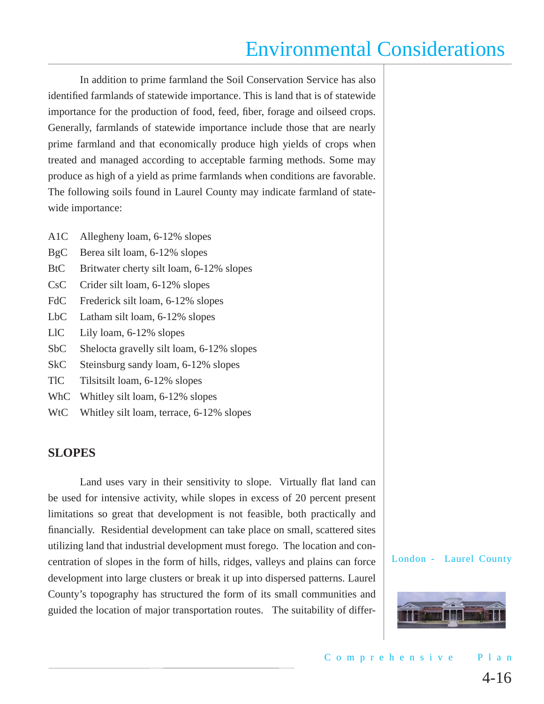In addition to prime farmland the Soil Conservation Service has also identified farmlands of statewide importance. This is land that is of statewide importance for the production of food, feed, fiber, forage and oilseed crops. Generally, farmlands of statewide importance include those that are nearly prime farmland and that economically produce high yields of crops when treated and managed according to acceptable farming methods. Some may produce as high of a yield as prime farmlands when conditions are favorable. The following soils found in Laurel County may indicate farmland of statewide importance:

- A1C Allegheny loam, 6-12% slopes
- BgC Berea silt loam, 6-12% slopes
- BtC Britwater cherty silt loam, 6-12% slopes
- CsC Crider silt loam, 6-12% slopes
- FdC Frederick silt loam, 6-12% slopes
- LbC Latham silt loam, 6-12% slopes
- LlC Lily loam, 6-12% slopes
- SbC Shelocta gravelly silt loam, 6-12% slopes
- SkC Steinsburg sandy loam, 6-12% slopes
- TlC Tilsitsilt loam, 6-12% slopes
- WhC Whitley silt loam, 6-12% slopes
- WtC Whitley silt loam, terrace, 6-12% slopes

### **SLOPES**

Land uses vary in their sensitivity to slope. Virtually flat land can be used for intensive activity, while slopes in excess of 20 percent present limitations so great that development is not feasible, both practically and financially. Residential development can take place on small, scattered sites utilizing land that industrial development must forego. The location and concentration of slopes in the form of hills, ridges, valleys and plains can force development into large clusters or break it up into dispersed patterns. Laurel County's topography has structured the form of its small communities and guided the location of major transportation routes. The suitability of differ-

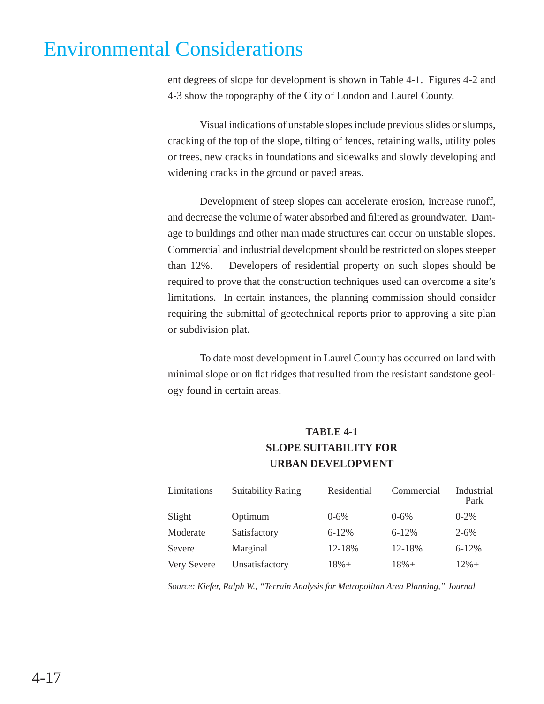ent degrees of slope for development is shown in Table 4-1. Figures 4-2 and 4-3 show the topography of the City of London and Laurel County.

Visual indications of unstable slopes include previous slides or slumps, cracking of the top of the slope, tilting of fences, retaining walls, utility poles or trees, new cracks in foundations and sidewalks and slowly developing and widening cracks in the ground or paved areas.

Development of steep slopes can accelerate erosion, increase runoff, and decrease the volume of water absorbed and filtered as groundwater. Damage to buildings and other man made structures can occur on unstable slopes. Commercial and industrial development should be restricted on slopes steeper than 12%. Developers of residential property on such slopes should be required to prove that the construction techniques used can overcome a site's limitations. In certain instances, the planning commission should consider requiring the submittal of geotechnical reports prior to approving a site plan or subdivision plat.

To date most development in Laurel County has occurred on land with minimal slope or on flat ridges that resulted from the resistant sandstone geology found in certain areas.

### **TABLE 4-1 SLOPE SUITABILITY FOR URBAN DEVELOPMENT**

| Limitations | <b>Suitability Rating</b> | Residential | Commercial | Industrial<br>Park |
|-------------|---------------------------|-------------|------------|--------------------|
| Slight      | Optimum                   | $0 - 6\%$   | $0 - 6\%$  | $0 - 2\%$          |
| Moderate    | Satisfactory              | $6 - 12%$   | $6 - 12%$  | $2 - 6\%$          |
| Severe      | Marginal                  | 12-18%      | 12-18%     | $6 - 12%$          |
| Very Severe | Unsatisfactory            | $18% +$     | $18% +$    | $12% +$            |

*Source: Kiefer, Ralph W., "Terrain Analysis for Metropolitan Area Planning," Journal*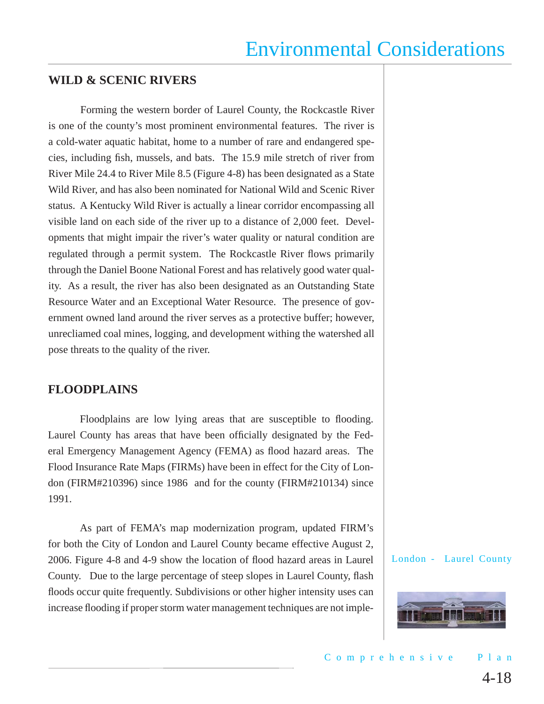### **WILD & SCENIC RIVERS**

Forming the western border of Laurel County, the Rockcastle River is one of the county's most prominent environmental features. The river is a cold-water aquatic habitat, home to a number of rare and endangered species, including fish, mussels, and bats. The 15.9 mile stretch of river from River Mile 24.4 to River Mile 8.5 (Figure 4-8) has been designated as a State Wild River, and has also been nominated for National Wild and Scenic River status. A Kentucky Wild River is actually a linear corridor encompassing all visible land on each side of the river up to a distance of 2,000 feet. Developments that might impair the river's water quality or natural condition are regulated through a permit system. The Rockcastle River flows primarily through the Daniel Boone National Forest and has relatively good water quality. As a result, the river has also been designated as an Outstanding State Resource Water and an Exceptional Water Resource. The presence of government owned land around the river serves as a protective buffer; however, unrecliamed coal mines, logging, and development withing the watershed all pose threats to the quality of the river.

### **FLOODPLAINS**

Floodplains are low lying areas that are susceptible to flooding. Laurel County has areas that have been officially designated by the Federal Emergency Management Agency (FEMA) as flood hazard areas. The Flood Insurance Rate Maps (FIRMs) have been in effect for the City of London (FIRM#210396) since 1986 and for the county (FIRM#210134) since 1991.

As part of FEMA's map modernization program, updated FIRM's for both the City of London and Laurel County became effective August 2, 2006. Figure 4-8 and 4-9 show the location of flood hazard areas in Laurel County. Due to the large percentage of steep slopes in Laurel County, flash floods occur quite frequently. Subdivisions or other higher intensity uses can increase flooding if proper storm water management techniques are not imple-

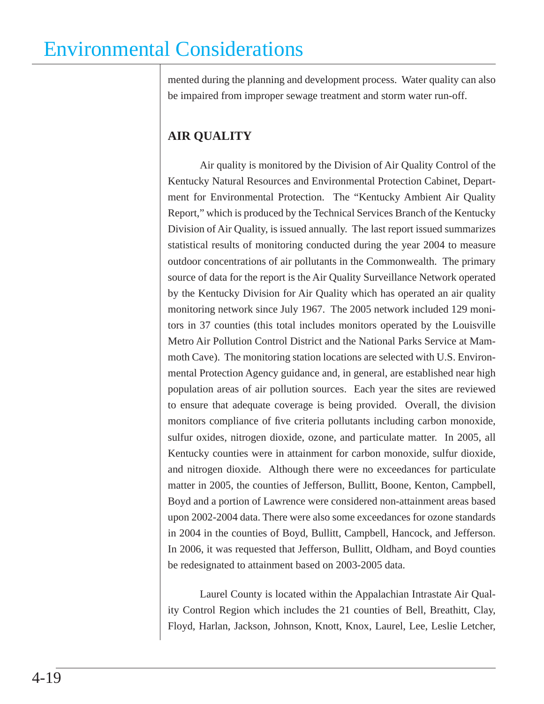mented during the planning and development process. Water quality can also be impaired from improper sewage treatment and storm water run-off.

### **AIR QUALITY**

Air quality is monitored by the Division of Air Quality Control of the Kentucky Natural Resources and Environmental Protection Cabinet, Department for Environmental Protection. The "Kentucky Ambient Air Quality Report," which is produced by the Technical Services Branch of the Kentucky Division of Air Quality, is issued annually. The last report issued summarizes statistical results of monitoring conducted during the year 2004 to measure outdoor concentrations of air pollutants in the Commonwealth. The primary source of data for the report is the Air Quality Surveillance Network operated by the Kentucky Division for Air Quality which has operated an air quality monitoring network since July 1967. The 2005 network included 129 monitors in 37 counties (this total includes monitors operated by the Louisville Metro Air Pollution Control District and the National Parks Service at Mammoth Cave). The monitoring station locations are selected with U.S. Environmental Protection Agency guidance and, in general, are established near high population areas of air pollution sources. Each year the sites are reviewed to ensure that adequate coverage is being provided. Overall, the division monitors compliance of five criteria pollutants including carbon monoxide, sulfur oxides, nitrogen dioxide, ozone, and particulate matter. In 2005, all Kentucky counties were in attainment for carbon monoxide, sulfur dioxide, and nitrogen dioxide. Although there were no exceedances for particulate matter in 2005, the counties of Jefferson, Bullitt, Boone, Kenton, Campbell, Boyd and a portion of Lawrence were considered non-attainment areas based upon 2002-2004 data. There were also some exceedances for ozone standards in 2004 in the counties of Boyd, Bullitt, Campbell, Hancock, and Jefferson. In 2006, it was requested that Jefferson, Bullitt, Oldham, and Boyd counties be redesignated to attainment based on 2003-2005 data.

Laurel County is located within the Appalachian Intrastate Air Quality Control Region which includes the 21 counties of Bell, Breathitt, Clay, Floyd, Harlan, Jackson, Johnson, Knott, Knox, Laurel, Lee, Leslie Letcher,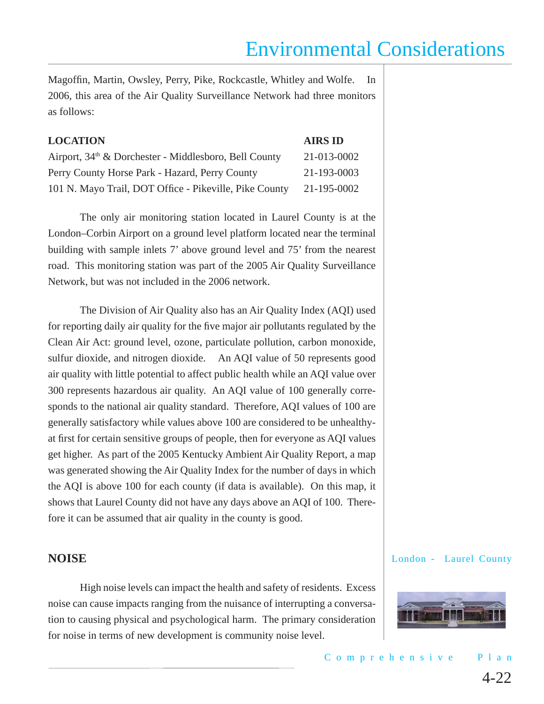Magoffin, Martin, Owsley, Perry, Pike, Rockcastle, Whitley and Wolfe. In 2006, this area of the Air Quality Surveillance Network had three monitors as follows:

| <b>LOCATION</b>                                                   | <b>AIRS ID</b> |
|-------------------------------------------------------------------|----------------|
| Airport, 34 <sup>th</sup> & Dorchester - Middlesboro, Bell County | 21-013-0002    |
| Perry County Horse Park - Hazard, Perry County                    | 21-193-0003    |
| 101 N. Mayo Trail, DOT Office - Pikeville, Pike County            | 21-195-0002    |

The only air monitoring station located in Laurel County is at the London–Corbin Airport on a ground level platform located near the terminal building with sample inlets 7' above ground level and 75' from the nearest road. This monitoring station was part of the 2005 Air Quality Surveillance Network, but was not included in the 2006 network.

The Division of Air Quality also has an Air Quality Index (AQI) used for reporting daily air quality for the five major air pollutants regulated by the Clean Air Act: ground level, ozone, particulate pollution, carbon monoxide, sulfur dioxide, and nitrogen dioxide. An AQI value of 50 represents good air quality with little potential to affect public health while an AQI value over 300 represents hazardous air quality. An AQI value of 100 generally corresponds to the national air quality standard. Therefore, AQI values of 100 are generally satisfactory while values above 100 are considered to be unhealthyat first for certain sensitive groups of people, then for everyone as AQI values get higher. As part of the 2005 Kentucky Ambient Air Quality Report, a map was generated showing the Air Quality Index for the number of days in which the AQI is above 100 for each county (if data is available). On this map, it shows that Laurel County did not have any days above an AQI of 100. Therefore it can be assumed that air quality in the county is good.

#### **NOISE**

High noise levels can impact the health and safety of residents. Excess noise can cause impacts ranging from the nuisance of interrupting a conversation to causing physical and psychological harm. The primary consideration for noise in terms of new development is community noise level.

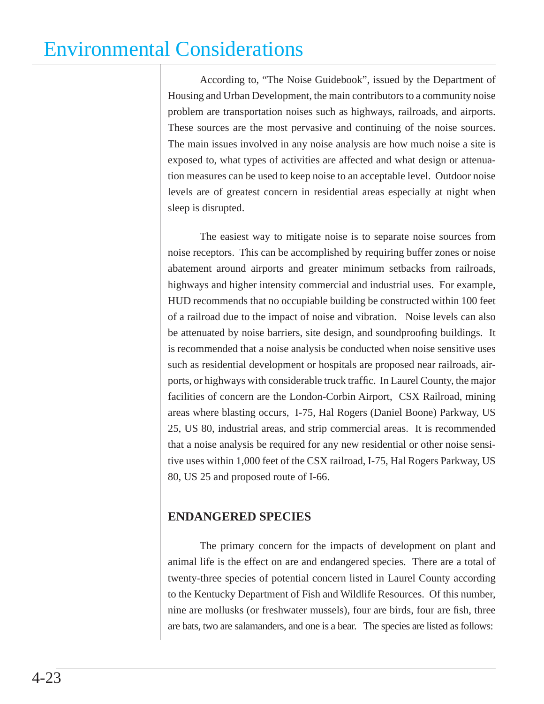According to, "The Noise Guidebook", issued by the Department of Housing and Urban Development, the main contributors to a community noise problem are transportation noises such as highways, railroads, and airports. These sources are the most pervasive and continuing of the noise sources. The main issues involved in any noise analysis are how much noise a site is exposed to, what types of activities are affected and what design or attenuation measures can be used to keep noise to an acceptable level. Outdoor noise levels are of greatest concern in residential areas especially at night when sleep is disrupted.

The easiest way to mitigate noise is to separate noise sources from noise receptors. This can be accomplished by requiring buffer zones or noise abatement around airports and greater minimum setbacks from railroads, highways and higher intensity commercial and industrial uses. For example, HUD recommends that no occupiable building be constructed within 100 feet of a railroad due to the impact of noise and vibration. Noise levels can also be attenuated by noise barriers, site design, and soundproofing buildings. It is recommended that a noise analysis be conducted when noise sensitive uses such as residential development or hospitals are proposed near railroads, airports, or highways with considerable truck traffic. In Laurel County, the major facilities of concern are the London-Corbin Airport, CSX Railroad, mining areas where blasting occurs, I-75, Hal Rogers (Daniel Boone) Parkway, US 25, US 80, industrial areas, and strip commercial areas. It is recommended that a noise analysis be required for any new residential or other noise sensitive uses within 1,000 feet of the CSX railroad, I-75, Hal Rogers Parkway, US 80, US 25 and proposed route of I-66.

### **ENDANGERED SPECIES**

The primary concern for the impacts of development on plant and animal life is the effect on are and endangered species. There are a total of twenty-three species of potential concern listed in Laurel County according to the Kentucky Department of Fish and Wildlife Resources. Of this number, nine are mollusks (or freshwater mussels), four are birds, four are fish, three are bats, two are salamanders, and one is a bear. The species are listed as follows: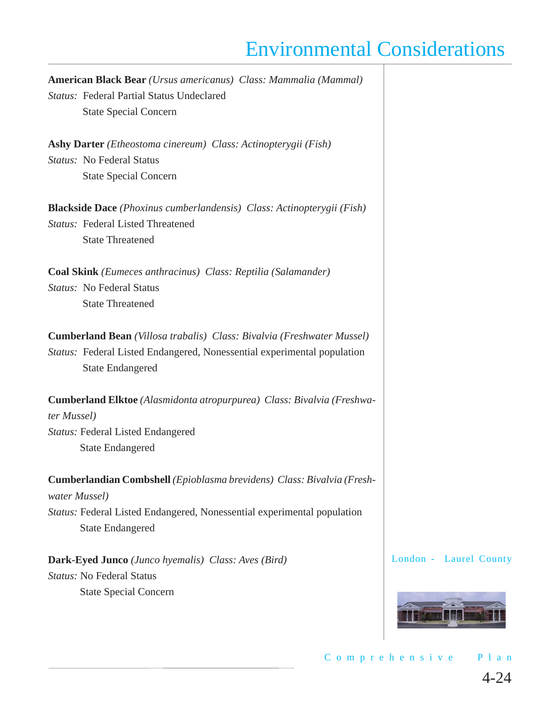**American Black Bear** *(Ursus americanus) Class: Mammalia (Mammal) Status:* Federal Partial Status Undeclared State Special Concern **Ashy Darter** *(Etheostoma cinereum) Class: Actinopterygii (Fish) Status:* No Federal Status State Special Concern **Blackside Dace** *(Phoxinus cumberlandensis) Class: Actinopterygii (Fish) Status:* Federal Listed Threatened State Threatened **Coal Skink** *(Eumeces anthracinus) Class: Reptilia (Salamander) Status:* No Federal Status State Threatened **Cumberland Bean** *(Villosa trabalis) Class: Bivalvia (Freshwater Mussel) Status:* Federal Listed Endangered, Nonessential experimental population State Endangered **Cumberland Elktoe** *(Alasmidonta atropurpurea) Class: Bivalvia (Freshwater Mussel) Status:* Federal Listed Endangered State Endangered **Cumberlandian Combshell** *(Epioblasma brevidens) Class: Bivalvia (Freshwater Mussel) Status:* Federal Listed Endangered, Nonessential experimental population State Endangered

**Dark-Eyed Junco** *(Junco hyemalis) Class: Aves (Bird) Status:* No Federal Status

State Special Concern

London - Laurel County



4-24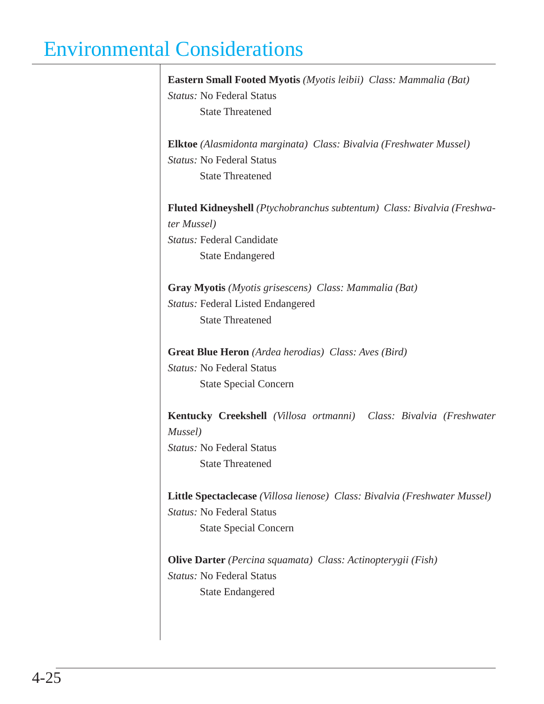$\overline{\phantom{a}}$ 

|             | Eastern Small Footed Myotis (Myotis leibii) Class: Mammalia (Bat)                     |
|-------------|---------------------------------------------------------------------------------------|
|             | <i>Status:</i> No Federal Status                                                      |
|             | <b>State Threatened</b>                                                               |
|             | <b>Elktoe</b> (Alasmidonta marginata) Class: Bivalvia (Freshwater Mussel)             |
|             | <i>Status:</i> No Federal Status                                                      |
|             | <b>State Threatened</b>                                                               |
|             | <b>Fluted Kidneyshell</b> (Ptychobranchus subtentum) Class: Bivalvia (Freshwa-        |
| ter Mussel) |                                                                                       |
|             | <i>Status:</i> Federal Candidate                                                      |
|             | <b>State Endangered</b>                                                               |
|             | <b>Gray Myotis</b> ( <i>Myotis grisescens</i> ) Class: <i>Mammalia</i> ( <i>Bat</i> ) |
|             | <b>Status: Federal Listed Endangered</b>                                              |
|             | <b>State Threatened</b>                                                               |
|             | <b>Great Blue Heron</b> (Ardea herodias) Class: Aves (Bird)                           |
|             | <i>Status:</i> No Federal Status                                                      |
|             | <b>State Special Concern</b>                                                          |
|             | Kentucky Creekshell (Villosa ortmanni) Class: Bivalvia (Freshwater                    |
| Mussel)     |                                                                                       |
|             | <i>Status:</i> No Federal Status                                                      |
|             | <b>State Threatened</b>                                                               |
|             | Little Spectaclecase (Villosa lienose) Class: Bivalvia (Freshwater Mussel)            |
|             | <b>Status: No Federal Status</b>                                                      |
|             | <b>State Special Concern</b>                                                          |
|             | <b>Olive Darter</b> (Percina squamata) Class: Actinopterygii (Fish)                   |
|             |                                                                                       |
|             | <b>Status: No Federal Status</b>                                                      |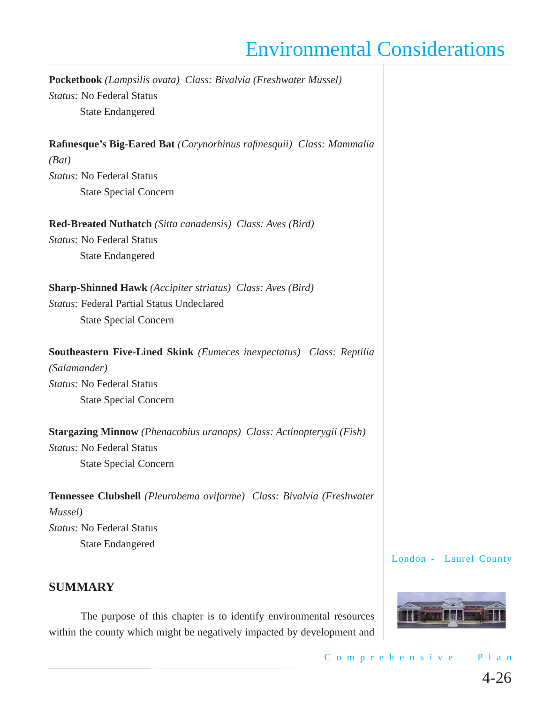**Pocketbook** *(Lampsilis ovata) Class: Bivalvia (Freshwater Mussel) Status:* No Federal Status State Endangered **Rafinesque's Big-Eared Bat** *(Corynorhinus rafinesquii) Class: Mammalia (Bat) Status:* No Federal Status State Special Concern **Red-Breated Nuthatch** *(Sitta canadensis) Class: Aves (Bird) Status:* No Federal Status State Endangered **Sharp-Shinned Hawk** *(Accipiter striatus) Class: Aves (Bird) Status:* Federal Partial Status Undeclared State Special Concern **Southeastern Five-Lined Skink** *(Eumeces inexpectatus) Class: Reptilia (Salamander) Status:* No Federal Status State Special Concern **Stargazing Minnow** *(Phenacobius uranops) Class: Actinopterygii (Fish) Status:* No Federal Status State Special Concern **Tennessee Clubshell** *(Pleurobema oviforme) Class: Bivalvia (Freshwater* 

*Mussel) Status:* No Federal Status State Endangered

London - Laurel County

### **SUMMARY**

The purpose of this chapter is to identify environmental resources within the county which might be negatively impacted by development and



Comprehensive Plan 4-26